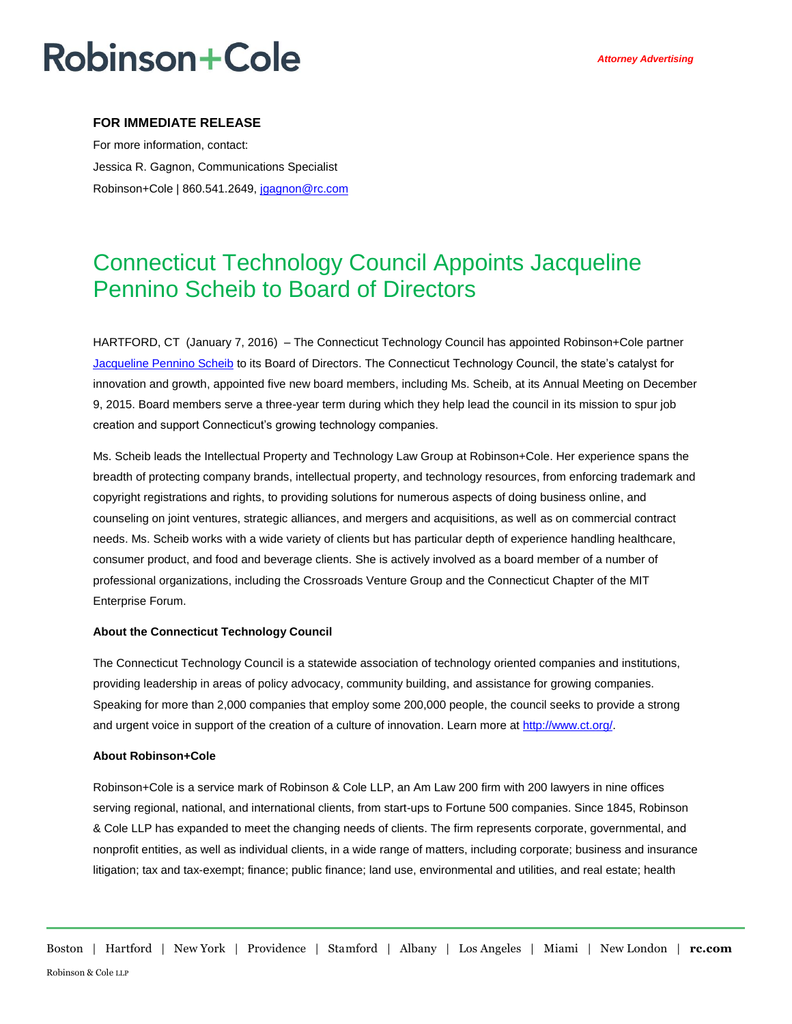# **Robinson+Cole**

### **FOR IMMEDIATE RELEASE**

For more information, contact: Jessica R. Gagnon, Communications Specialist Robinson+Cole | 860.541.2649, [jgagnon@rc.com](mailto:jgagnon@rc.com)

### Connecticut Technology Council Appoints Jacqueline Pennino Scheib to Board of Directors

HARTFORD, CT (January 7, 2016) – The Connecticut Technology Council has appointed Robinson+Cole partner [Jacqueline Pennino Scheib](http://www.rc.com/people/JacquelinePenninoScheib.cfm) to its Board of Directors. The Connecticut Technology Council, the state's catalyst for innovation and growth, appointed five new board members, including Ms. Scheib, at its Annual Meeting on December 9, 2015. Board members serve a three-year term during which they help lead the council in its mission to spur job creation and support Connecticut's growing technology companies.

Ms. Scheib leads the Intellectual Property and Technology Law Group at Robinson+Cole. Her experience spans the breadth of protecting company brands, intellectual property, and technology resources, from enforcing trademark and copyright registrations and rights, to providing solutions for numerous aspects of doing business online, and counseling on joint ventures, strategic alliances, and mergers and acquisitions, as well as on commercial contract needs. Ms. Scheib works with a wide variety of clients but has particular depth of experience handling healthcare, consumer product, and food and beverage clients. She is actively involved as a board member of a number of professional organizations, including the Crossroads Venture Group and the Connecticut Chapter of the MIT Enterprise Forum.

#### **About the Connecticut Technology Council**

The Connecticut Technology Council is a statewide association of technology oriented companies and institutions, providing leadership in areas of policy advocacy, community building, and assistance for growing companies. Speaking for more than 2,000 companies that employ some 200,000 people, the council seeks to provide a strong and urgent voice in support of the creation of a culture of innovation. Learn more at [http://www.ct.org/.](http://www.ct.org/)

#### **About Robinson+Cole**

Robinson+Cole is a service mark of Robinson & Cole LLP, an Am Law 200 firm with 200 lawyers in nine offices serving regional, national, and international clients, from start-ups to Fortune 500 companies. Since 1845, Robinson & Cole LLP has expanded to meet the changing needs of clients. The firm represents corporate, governmental, and nonprofit entities, as well as individual clients, in a wide range of matters, including corporate; business and insurance litigation; tax and tax-exempt; finance; public finance; land use, environmental and utilities, and real estate; health